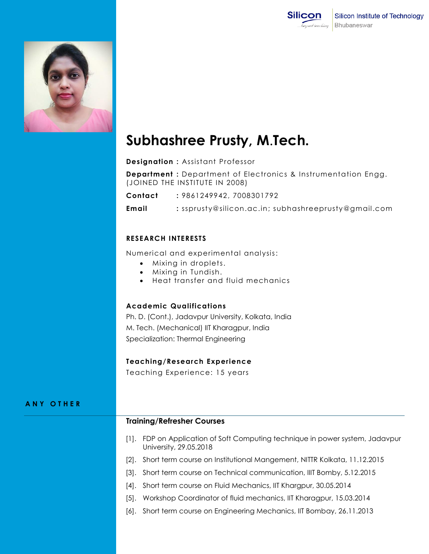



# **Subhashree Prusty, M**.**Tech.**

**Designation :** Assistant Professor

**Department :** Department of Electronics & Instrumentation Engg. (JOINED THE INSTITUTE IN 2008)

**Contact :** 9861249942, 7008301792

**Email :** [ssprusty@silicon.ac.in;](mailto:ssprusty@silicon.ac.in) subhashreeprusty@gmail.com

## **RESEARCH INTERESTS**

Numerical and experimental analysis:

- Mixing in droplets.
- Mixing in Tundish.
- Heat transfer and fluid mechanics

# **Academic Qualifications**

Ph. D. (Cont.), Jadavpur University, Kolkata, India M. Tech. (Mechanical) IIT Kharagpur, India Specialization: Thermal Engineering

## **Teaching/Research Experience**

Teaching Experience: 15 years

#### **A N Y O T H E R**

#### **Training/Refresher Courses**

- [1]. FDP on Application of Soft Computing technique in power system, Jadavpur University, 29.05.2018
- [2]. Short term course on Institutional Mangement, NITTR Kolkata, 11.12.2015
- [3]. Short term course on Technical communication, IIIT Bomby, 5.12.2015
- [4]. Short term course on Fluid Mechanics, IIT Khargpur, 30.05.2014
- [5]. Workshop Coordinator of fluid mechanics, IIT Kharagpur, 15.03.2014
- [6]. Short term course on Engineering Mechanics, IIT Bombay, 26.11.2013